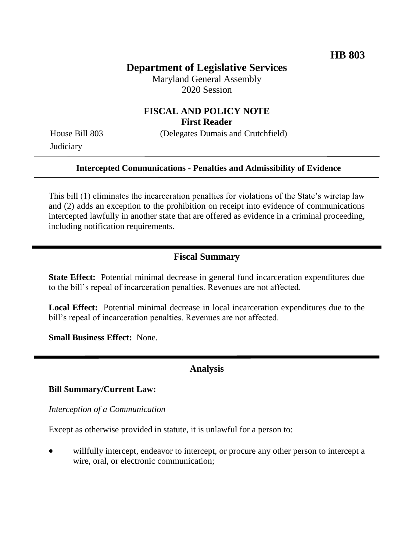# **Department of Legislative Services**

Maryland General Assembly 2020 Session

## **FISCAL AND POLICY NOTE First Reader**

**Judiciary** 

House Bill 803 (Delegates Dumais and Crutchfield)

#### **Intercepted Communications - Penalties and Admissibility of Evidence**

This bill (1) eliminates the incarceration penalties for violations of the State's wiretap law and (2) adds an exception to the prohibition on receipt into evidence of communications intercepted lawfully in another state that are offered as evidence in a criminal proceeding, including notification requirements.

### **Fiscal Summary**

**State Effect:** Potential minimal decrease in general fund incarceration expenditures due to the bill's repeal of incarceration penalties. Revenues are not affected.

**Local Effect:** Potential minimal decrease in local incarceration expenditures due to the bill's repeal of incarceration penalties. Revenues are not affected.

**Small Business Effect:** None.

### **Analysis**

#### **Bill Summary/Current Law:**

*Interception of a Communication*

Except as otherwise provided in statute, it is unlawful for a person to:

 willfully intercept, endeavor to intercept, or procure any other person to intercept a wire, oral, or electronic communication;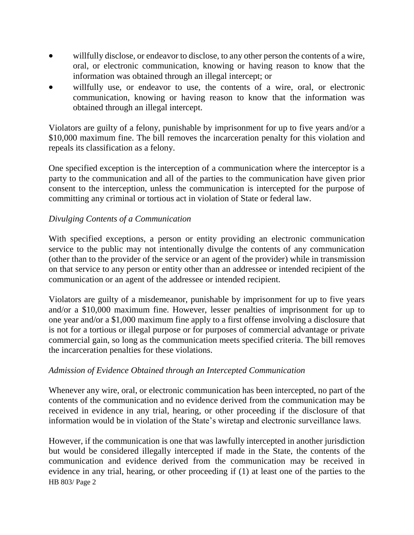- willfully disclose, or endeavor to disclose, to any other person the contents of a wire, oral, or electronic communication, knowing or having reason to know that the information was obtained through an illegal intercept; or
- willfully use, or endeavor to use, the contents of a wire, oral, or electronic communication, knowing or having reason to know that the information was obtained through an illegal intercept.

Violators are guilty of a felony, punishable by imprisonment for up to five years and/or a \$10,000 maximum fine. The bill removes the incarceration penalty for this violation and repeals its classification as a felony.

One specified exception is the interception of a communication where the interceptor is a party to the communication and all of the parties to the communication have given prior consent to the interception, unless the communication is intercepted for the purpose of committing any criminal or tortious act in violation of State or federal law.

## *Divulging Contents of a Communication*

With specified exceptions, a person or entity providing an electronic communication service to the public may not intentionally divulge the contents of any communication (other than to the provider of the service or an agent of the provider) while in transmission on that service to any person or entity other than an addressee or intended recipient of the communication or an agent of the addressee or intended recipient.

Violators are guilty of a misdemeanor, punishable by imprisonment for up to five years and/or a \$10,000 maximum fine. However, lesser penalties of imprisonment for up to one year and/or a \$1,000 maximum fine apply to a first offense involving a disclosure that is not for a tortious or illegal purpose or for purposes of commercial advantage or private commercial gain, so long as the communication meets specified criteria. The bill removes the incarceration penalties for these violations.

### *Admission of Evidence Obtained through an Intercepted Communication*

Whenever any wire, oral, or electronic communication has been intercepted, no part of the contents of the communication and no evidence derived from the communication may be received in evidence in any trial, hearing, or other proceeding if the disclosure of that information would be in violation of the State's wiretap and electronic surveillance laws.

HB 803/ Page 2 However, if the communication is one that was lawfully intercepted in another jurisdiction but would be considered illegally intercepted if made in the State, the contents of the communication and evidence derived from the communication may be received in evidence in any trial, hearing, or other proceeding if (1) at least one of the parties to the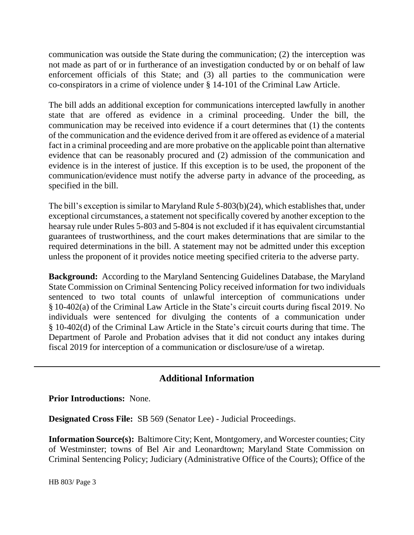communication was outside the State during the communication; (2) the interception was not made as part of or in furtherance of an investigation conducted by or on behalf of law enforcement officials of this State; and (3) all parties to the communication were co-conspirators in a crime of violence under § 14-101 of the Criminal Law Article.

The bill adds an additional exception for communications intercepted lawfully in another state that are offered as evidence in a criminal proceeding. Under the bill, the communication may be received into evidence if a court determines that (1) the contents of the communication and the evidence derived from it are offered as evidence of a material fact in a criminal proceeding and are more probative on the applicable point than alternative evidence that can be reasonably procured and (2) admission of the communication and evidence is in the interest of justice. If this exception is to be used, the proponent of the communication/evidence must notify the adverse party in advance of the proceeding, as specified in the bill.

The bill's exception is similar to Maryland Rule 5-803(b)(24), which establishes that, under exceptional circumstances, a statement not specifically covered by another exception to the hearsay rule under Rules 5-803 and 5-804 is not excluded if it has equivalent circumstantial guarantees of trustworthiness, and the court makes determinations that are similar to the required determinations in the bill. A statement may not be admitted under this exception unless the proponent of it provides notice meeting specified criteria to the adverse party.

**Background:** According to the Maryland Sentencing Guidelines Database, the Maryland State Commission on Criminal Sentencing Policy received information for two individuals sentenced to two total counts of unlawful interception of communications under § 10-402(a) of the Criminal Law Article in the State's circuit courts during fiscal 2019. No individuals were sentenced for divulging the contents of a communication under § 10-402(d) of the Criminal Law Article in the State's circuit courts during that time. The Department of Parole and Probation advises that it did not conduct any intakes during fiscal 2019 for interception of a communication or disclosure/use of a wiretap.

## **Additional Information**

**Prior Introductions:** None.

**Designated Cross File:** SB 569 (Senator Lee) - Judicial Proceedings.

**Information Source(s):** Baltimore City; Kent, Montgomery, and Worcester counties; City of Westminster; towns of Bel Air and Leonardtown; Maryland State Commission on Criminal Sentencing Policy; Judiciary (Administrative Office of the Courts); Office of the